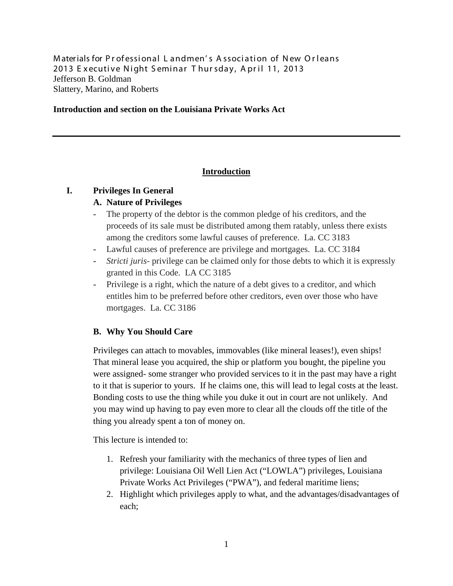Materials for Professional Landmen's Association of New Orleans 2013 Executive Night Seminar Thursday, April 11, 2013 Jefferson B. Goldman Slattery, Marino, and Roberts

### **Introduction and section on the Louisiana Private Works Act**

## **Introduction**

## **I. Privileges In General**

### **A. Nature of Privileges**

- The property of the debtor is the common pledge of his creditors, and the proceeds of its sale must be distributed among them ratably, unless there exists among the creditors some lawful causes of preference. La. CC 3183
- Lawful causes of preference are privilege and mortgages. La. CC 3184
- *Stricti juris-* privilege can be claimed only for those debts to which it is expressly granted in this Code. LA CC 3185
- Privilege is a right, which the nature of a debt gives to a creditor, and which entitles him to be preferred before other creditors, even over those who have mortgages. La. CC 3186

## **B. Why You Should Care**

Privileges can attach to movables, immovables (like mineral leases!), even ships! That mineral lease you acquired, the ship or platform you bought, the pipeline you were assigned- some stranger who provided services to it in the past may have a right to it that is superior to yours. If he claims one, this will lead to legal costs at the least. Bonding costs to use the thing while you duke it out in court are not unlikely. And you may wind up having to pay even more to clear all the clouds off the title of the thing you already spent a ton of money on.

This lecture is intended to:

- 1. Refresh your familiarity with the mechanics of three types of lien and privilege: Louisiana Oil Well Lien Act ("LOWLA") privileges, Louisiana Private Works Act Privileges ("PWA"), and federal maritime liens;
- 2. Highlight which privileges apply to what, and the advantages/disadvantages of each;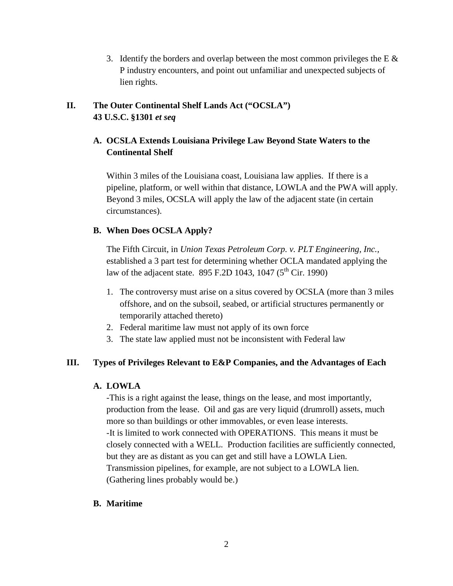3. Identify the borders and overlap between the most common privileges the E  $\&$ P industry encounters, and point out unfamiliar and unexpected subjects of lien rights.

# **II. The Outer Continental Shelf Lands Act ("OCSLA") 43 U.S.C. §1301** *et seq*

## **A. OCSLA Extends Louisiana Privilege Law Beyond State Waters to the Continental Shelf**

Within 3 miles of the Louisiana coast, Louisiana law applies. If there is a pipeline, platform, or well within that distance, LOWLA and the PWA will apply. Beyond 3 miles, OCSLA will apply the law of the adjacent state (in certain circumstances).

## **B. When Does OCSLA Apply?**

The Fifth Circuit, in *Union Texas Petroleum Corp. v. PLT Engineering, Inc.,*  established a 3 part test for determining whether OCLA mandated applying the law of the adjacent state. 895 F.2D 1043, 1047 (5<sup>th</sup> Cir. 1990)

- 1. The controversy must arise on a situs covered by OCSLA (more than 3 miles offshore, and on the subsoil, seabed, or artificial structures permanently or temporarily attached thereto)
- 2. Federal maritime law must not apply of its own force
- 3. The state law applied must not be inconsistent with Federal law

## **III. Types of Privileges Relevant to E&P Companies, and the Advantages of Each**

## **A. LOWLA**

-This is a right against the lease, things on the lease, and most importantly, production from the lease. Oil and gas are very liquid (drumroll) assets, much more so than buildings or other immovables, or even lease interests. -It is limited to work connected with OPERATIONS. This means it must be closely connected with a WELL. Production facilities are sufficiently connected, but they are as distant as you can get and still have a LOWLA Lien. Transmission pipelines, for example, are not subject to a LOWLA lien. (Gathering lines probably would be.)

## **B. Maritime**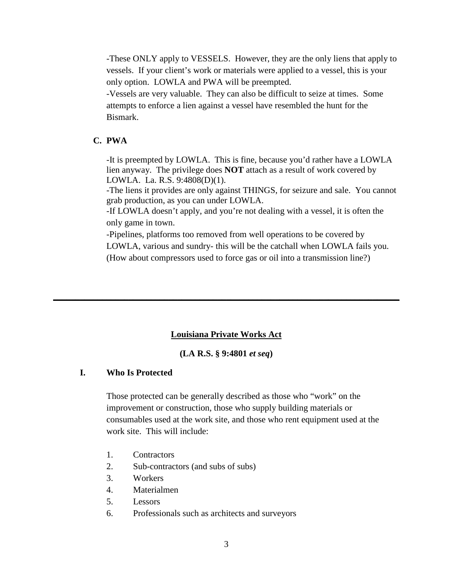-These ONLY apply to VESSELS. However, they are the only liens that apply to vessels. If your client's work or materials were applied to a vessel, this is your only option. LOWLA and PWA will be preempted.

-Vessels are very valuable. They can also be difficult to seize at times. Some attempts to enforce a lien against a vessel have resembled the hunt for the Bismark.

### **C. PWA**

-It is preempted by LOWLA. This is fine, because you'd rather have a LOWLA lien anyway. The privilege does **NOT** attach as a result of work covered by LOWLA. La. R.S. 9:4808(D)(1).

-The liens it provides are only against THINGS, for seizure and sale. You cannot grab production, as you can under LOWLA.

-If LOWLA doesn't apply, and you're not dealing with a vessel, it is often the only game in town.

-Pipelines, platforms too removed from well operations to be covered by LOWLA, various and sundry- this will be the catchall when LOWLA fails you. (How about compressors used to force gas or oil into a transmission line?)

#### **Louisiana Private Works Act**

**\_\_\_\_\_\_\_\_\_\_\_\_\_\_\_\_\_\_\_\_\_\_\_\_\_\_\_\_\_\_\_\_\_\_\_\_\_\_\_\_\_\_\_\_\_\_\_\_\_\_\_\_\_\_\_\_\_\_\_\_\_\_\_\_\_\_\_\_\_\_\_\_\_\_\_\_\_\_**

### **(LA R.S. § 9:4801** *et seq***)**

### **I. Who Is Protected**

Those protected can be generally described as those who "work" on the improvement or construction, those who supply building materials or consumables used at the work site, and those who rent equipment used at the work site. This will include:

- 1. Contractors
- 2. Sub-contractors (and subs of subs)
- 3. Workers
- 4. Materialmen
- 5. Lessors
- 6. Professionals such as architects and surveyors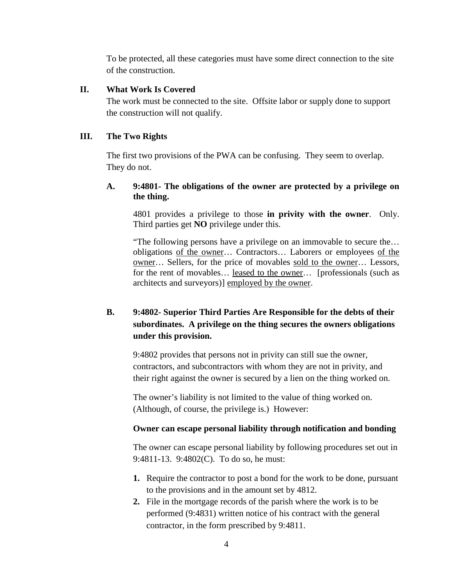To be protected, all these categories must have some direct connection to the site of the construction.

### **II. What Work Is Covered**

The work must be connected to the site. Offsite labor or supply done to support the construction will not qualify.

## **III. The Two Rights**

The first two provisions of the PWA can be confusing. They seem to overlap. They do not.

## **A. 9:4801- The obligations of the owner are protected by a privilege on the thing.**

4801 provides a privilege to those **in privity with the owner**. Only. Third parties get **NO** privilege under this.

"The following persons have a privilege on an immovable to secure the… obligations of the owner… Contractors… Laborers or employees of the owner… Sellers, for the price of movables sold to the owner… Lessors, for the rent of movables… leased to the owner… [professionals (such as architects and surveyors)] employed by the owner.

# **B. 9:4802- Superior Third Parties Are Responsible for the debts of their subordinates. A privilege on the thing secures the owners obligations under this provision.**

9:4802 provides that persons not in privity can still sue the owner, contractors, and subcontractors with whom they are not in privity, and their right against the owner is secured by a lien on the thing worked on.

The owner's liability is not limited to the value of thing worked on. (Although, of course, the privilege is.) However:

## **Owner can escape personal liability through notification and bonding**

The owner can escape personal liability by following procedures set out in 9:4811-13. 9:4802(C). To do so, he must:

- **1.** Require the contractor to post a bond for the work to be done, pursuant to the provisions and in the amount set by 4812.
- **2.** File in the mortgage records of the parish where the work is to be performed (9:4831) written notice of his contract with the general contractor, in the form prescribed by 9:4811.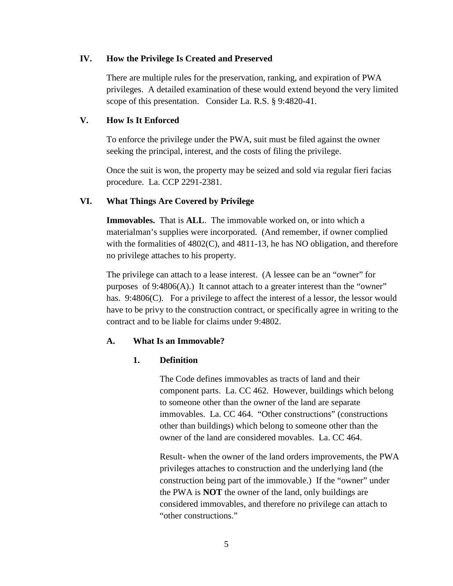### **IV. How the Privilege Is Created and Preserved**

There are multiple rules for the preservation, ranking, and expiration of PWA privileges. A detailed examination of these would extend beyond the very limited scope of this presentation. Consider La. R.S. § 9:4820-41.

### **V. How Is It Enforced**

To enforce the privilege under the PWA, suit must be filed against the owner seeking the principal, interest, and the costs of filing the privilege.

Once the suit is won, the property may be seized and sold via regular fieri facias procedure. La. CCP 2291-2381.

### **VI. What Things Are Covered by Privilege**

**Immovables.** That is **ALL**. The immovable worked on, or into which a materialman's supplies were incorporated. (And remember, if owner complied with the formalities of 4802(C), and 4811-13, he has NO obligation, and therefore no privilege attaches to his property.

The privilege can attach to a lease interest. (A lessee can be an "owner" for purposes of 9:4806(A).) It cannot attach to a greater interest than the "owner" has. 9:4806(C). For a privilege to affect the interest of a lessor, the lessor would have to be privy to the construction contract, or specifically agree in writing to the contract and to be liable for claims under 9:4802.

### **A. What Is an Immovable?**

### **1. Definition**

The Code defines immovables as tracts of land and their component parts. La. CC 462. However, buildings which belong to someone other than the owner of the land are separate immovables. La. CC 464. "Other constructions" (constructions other than buildings) which belong to someone other than the owner of the land are considered movables. La. CC 464.

Result- when the owner of the land orders improvements, the PWA privileges attaches to construction and the underlying land (the construction being part of the immovable.) If the "owner" under the PWA is **NOT** the owner of the land, only buildings are considered immovables, and therefore no privilege can attach to "other constructions."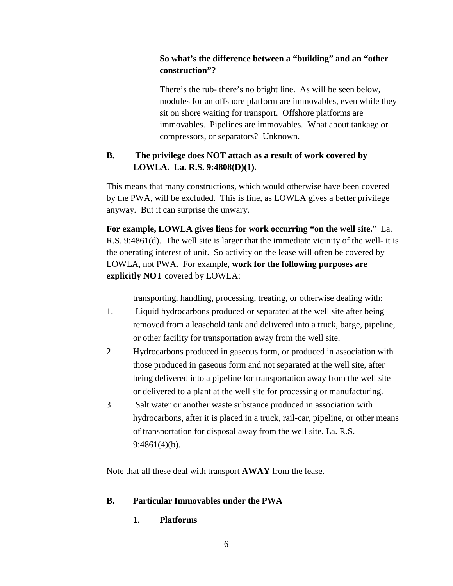## **So what's the difference between a "building" and an "other construction"?**

There's the rub- there's no bright line. As will be seen below, modules for an offshore platform are immovables, even while they sit on shore waiting for transport. Offshore platforms are immovables. Pipelines are immovables. What about tankage or compressors, or separators? Unknown.

## **B. The privilege does NOT attach as a result of work covered by LOWLA. La. R.S. 9:4808(D)(1).**

This means that many constructions, which would otherwise have been covered by the PWA, will be excluded. This is fine, as LOWLA gives a better privilege anyway. But it can surprise the unwary.

**For example, LOWLA gives liens for work occurring "on the well site.**" La. R.S. 9:4861(d). The well site is larger that the immediate vicinity of the well- it is the operating interest of unit. So activity on the lease will often be covered by LOWLA, not PWA. For example, **work for the following purposes are explicitly NOT** covered by LOWLA:

transporting, handling, processing, treating, or otherwise dealing with:

- 1. Liquid hydrocarbons produced or separated at the well site after being removed from a leasehold tank and delivered into a truck, barge, pipeline, or other facility for transportation away from the well site.
- 2. Hydrocarbons produced in gaseous form, or produced in association with those produced in gaseous form and not separated at the well site, after being delivered into a pipeline for transportation away from the well site or delivered to a plant at the well site for processing or manufacturing.
- 3. Salt water or another waste substance produced in association with hydrocarbons, after it is placed in a truck, rail-car, pipeline, or other means of transportation for disposal away from the well site. La. R.S. 9:4861(4)(b).

Note that all these deal with transport **AWAY** from the lease.

## **B. Particular Immovables under the PWA**

## **1. Platforms**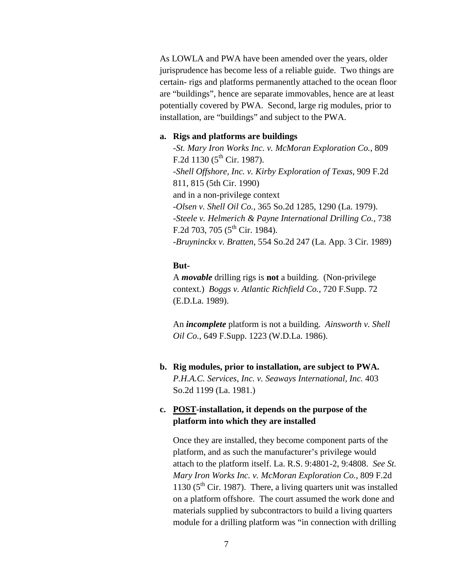As LOWLA and PWA have been amended over the years, older jurisprudence has become less of a reliable guide. Two things are certain- rigs and platforms permanently attached to the ocean floor are "buildings", hence are separate immovables, hence are at least potentially covered by PWA. Second, large rig modules, prior to installation, are "buildings" and subject to the PWA.

#### **a. Rigs and platforms are buildings**

*-St. Mary Iron Works Inc. v. McMoran Exploration Co.*, 809 F.2d  $1130$  ( $5^{\text{th}}$  Cir. 1987). -*Shell Offshore, Inc. v. Kirby Exploration of Texas*, 909 F.2d 811, 815 (5th Cir. 1990) and in a non-privilege context *-Olsen v. Shell Oil Co.*, 365 So.2d 1285, 1290 (La. 1979). *-Steele v. Helmerich & Payne International Drilling Co.*, 738 F.2d 703, 705 ( $5^{\text{th}}$  Cir. 1984). *-Bruyninckx v. Bratten*, 554 So.2d 247 (La. App. 3 Cir. 1989)

### **But-**

A *movable* drilling rigs is **not** a building. (Non-privilege context.) *Boggs v. Atlantic Richfield Co.*, 720 F.Supp. 72 (E.D.La. 1989).

An *incomplete* platform is not a building. *Ainsworth v. Shell Oil Co.*, 649 F.Supp. 1223 (W.D.La. 1986).

**b. Rig modules, prior to installation, are subject to PWA.**  *P.H.A.C. Services, Inc. v. Seaways International, Inc.* 403 So.2d 1199 (La. 1981.)

## **c. POST-installation, it depends on the purpose of the platform into which they are installed**

Once they are installed, they become component parts of the platform, and as such the manufacturer's privilege would attach to the platform itself. La. R.S. 9:4801-2, 9:4808. *See St. Mary Iron Works Inc. v. McMoran Exploration Co.*, 809 F.2d 1130 ( $5<sup>th</sup>$  Cir. 1987). There, a living quarters unit was installed on a platform offshore. The court assumed the work done and materials supplied by subcontractors to build a living quarters module for a drilling platform was "in connection with drilling